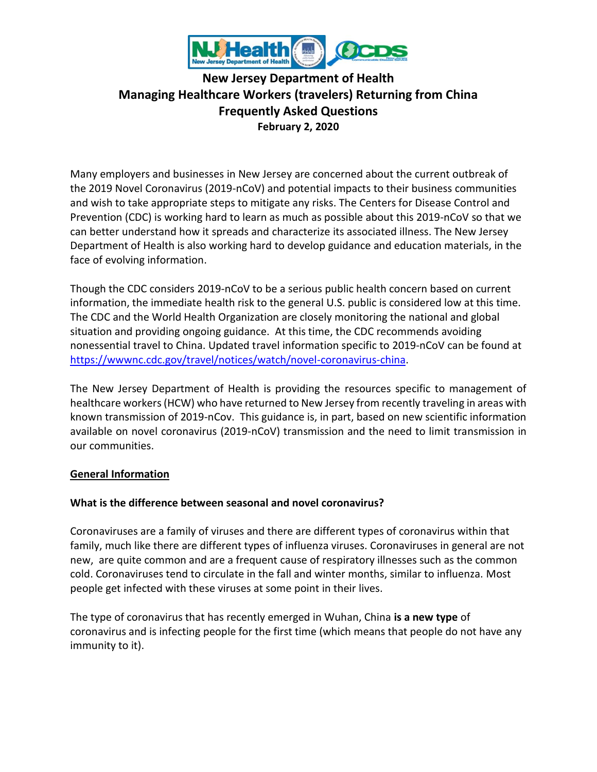

# **New Jersey Department of Health Managing Healthcare Workers (travelers) Returning from China Frequently Asked Questions February 2, 2020**

Many employers and businesses in New Jersey are concerned about the current outbreak of the 2019 Novel Coronavirus (2019-nCoV) and potential impacts to their business communities and wish to take appropriate steps to mitigate any risks. The Centers for Disease Control and Prevention (CDC) is working hard to learn as much as possible about this 2019-nCoV so that we can better understand how it spreads and characterize its associated illness. The New Jersey Department of Health is also working hard to develop guidance and education materials, in the face of evolving information.

Though the CDC considers 2019-nCoV to be a serious public health concern based on current information, the immediate health risk to the general U.S. public is considered low at this time. The CDC and the World Health Organization are closely monitoring the national and global situation and providing ongoing guidance. At this time, the CDC recommends avoiding nonessential travel to China. Updated travel information specific to 2019-nCoV can be found at [https://wwwnc.cdc.gov/travel/notices/watch/novel-coronavirus-china.](https://wwwnc.cdc.gov/travel/notices/watch/novel-coronavirus-china)

The New Jersey Department of Health is providing the resources specific to management of healthcare workers(HCW) who have returned to New Jersey from recently traveling in areas with known transmission of 2019-nCov. This guidance is, in part, based on new scientific information available on novel coronavirus (2019-nCoV) transmission and the need to limit transmission in our communities.

#### **General Information**

#### **What is the difference between seasonal and novel coronavirus?**

Coronaviruses are a family of viruses and there are different types of coronavirus within that family, much like there are different types of influenza viruses. Coronaviruses in general are not new, are quite common and are a frequent cause of respiratory illnesses such as the common cold. Coronaviruses tend to circulate in the fall and winter months, similar to influenza. Most people get infected with these viruses at some point in their lives.

The type of coronavirus that has recently emerged in Wuhan, China **is a new type** of coronavirus and is infecting people for the first time (which means that people do not have any immunity to it).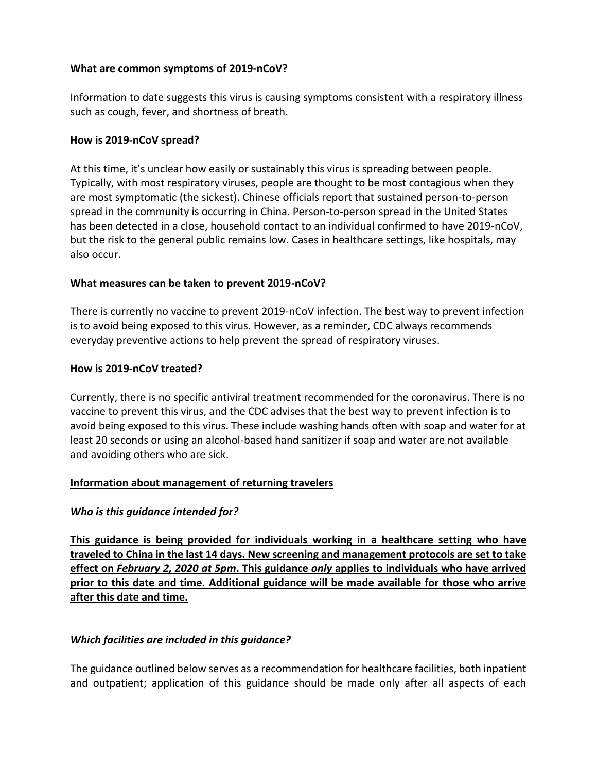### **What are common symptoms of 2019-nCoV?**

Information to date suggests this virus is causing symptoms consistent with a respiratory illness such as cough, fever, and shortness of breath.

### **How is 2019-nCoV spread?**

At this time, it's unclear how easily or sustainably this virus is spreading between people. Typically, with most respiratory viruses, people are thought to be most contagious when they are most symptomatic (the sickest). Chinese officials report that sustained person-to-person spread in the community is occurring in China. Person-to-person spread in the United States has been detected in a close, household contact to an individual confirmed to have 2019-nCoV, but the risk to the general public remains low. Cases in healthcare settings, like hospitals, may also occur.

### **What measures can be taken to prevent 2019-nCoV?**

There is currently no vaccine to prevent 2019-nCoV infection. The best way to prevent infection is to avoid being exposed to this virus. However, as a reminder, CDC always recommends everyday preventive actions to help prevent the spread of respiratory viruses.

### **How is 2019-nCoV treated?**

Currently, there is no specific antiviral treatment recommended for the coronavirus. There is no vaccine to prevent this virus, and the CDC advises that the best way to prevent infection is to avoid being exposed to this virus. These include washing hands often with soap and water for at least 20 seconds or using an alcohol-based hand sanitizer if soap and water are not available and avoiding others who are sick.

#### **Information about management of returning travelers**

# *Who is this guidance intended for?*

**This guidance is being provided for individuals working in a healthcare setting who have traveled to China in the last 14 days. New screening and management protocols are set to take effect on** *February 2, 2020 at 5pm***. This guidance** *only* **applies to individuals who have arrived prior to this date and time. Additional guidance will be made available for those who arrive after this date and time.** 

# *Which facilities are included in this guidance?*

The guidance outlined below serves as a recommendation for healthcare facilities, both inpatient and outpatient; application of this guidance should be made only after all aspects of each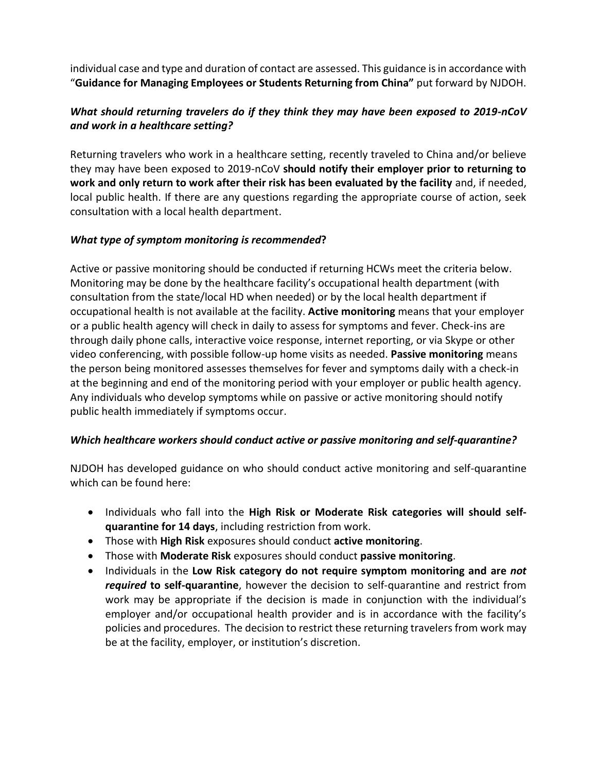individual case and type and duration of contact are assessed. This guidance is in accordance with "**Guidance for Managing Employees or Students Returning from China"** put forward by NJDOH.

# *What should returning travelers do if they think they may have been exposed to 2019-nCoV and work in a healthcare setting?*

Returning travelers who work in a healthcare setting, recently traveled to China and/or believe they may have been exposed to 2019-nCoV **should notify their employer prior to returning to work and only return to work after their risk has been evaluated by the facility** and, if needed, local public health. If there are any questions regarding the appropriate course of action, seek consultation with a local health department.

# *What type of symptom monitoring is recommended***?**

Active or passive monitoring should be conducted if returning HCWs meet the criteria below. Monitoring may be done by the healthcare facility's occupational health department (with consultation from the state/local HD when needed) or by the local health department if occupational health is not available at the facility. **Active monitoring** means that your employer or a public health agency will check in daily to assess for symptoms and fever. Check-ins are through daily phone calls, interactive voice response, internet reporting, or via Skype or other video conferencing, with possible follow-up home visits as needed. **Passive monitoring** means the person being monitored assesses themselves for fever and symptoms daily with a check-in at the beginning and end of the monitoring period with your employer or public health agency. Any individuals who develop symptoms while on passive or active monitoring should notify public health immediately if symptoms occur.

# *Which healthcare workers should conduct active or passive monitoring and self-quarantine?*

NJDOH has developed guidance on who should conduct active monitoring and self-quarantine which can be found here:

- Individuals who fall into the **High Risk or Moderate Risk categories will should selfquarantine for 14 days**, including restriction from work.
- Those with **High Risk** exposures should conduct **active monitoring**.
- Those with **Moderate Risk** exposures should conduct **passive monitoring**.
- Individuals in the **Low Risk category do not require symptom monitoring and are** *not required* **to self-quarantine**, however the decision to self-quarantine and restrict from work may be appropriate if the decision is made in conjunction with the individual's employer and/or occupational health provider and is in accordance with the facility's policies and procedures. The decision to restrict these returning travelersfrom work may be at the facility, employer, or institution's discretion.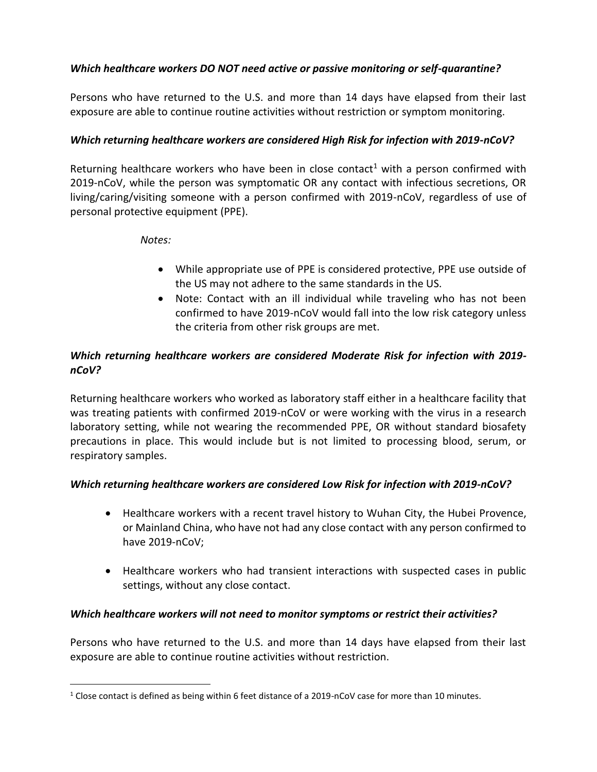# *Which healthcare workers DO NOT need active or passive monitoring or self-quarantine?*

Persons who have returned to the U.S. and more than 14 days have elapsed from their last exposure are able to continue routine activities without restriction or symptom monitoring.

# *Which returning healthcare workers are considered High Risk for infection with 2019-nCoV?*

Returning healthcare workers who have been in close contact<sup>1</sup> with a person confirmed with 2019-nCoV, while the person was symptomatic OR any contact with infectious secretions, OR living/caring/visiting someone with a person confirmed with 2019-nCoV, regardless of use of personal protective equipment (PPE).

# *Notes:*

- While appropriate use of PPE is considered protective, PPE use outside of the US may not adhere to the same standards in the US.
- Note: Contact with an ill individual while traveling who has not been confirmed to have 2019-nCoV would fall into the low risk category unless the criteria from other risk groups are met.

# *Which returning healthcare workers are considered Moderate Risk for infection with 2019 nCoV?*

Returning healthcare workers who worked as laboratory staff either in a healthcare facility that was treating patients with confirmed 2019-nCoV or were working with the virus in a research laboratory setting, while not wearing the recommended PPE, OR without standard biosafety precautions in place. This would include but is not limited to processing blood, serum, or respiratory samples.

# *Which returning healthcare workers are considered Low Risk for infection with 2019-nCoV?*

- Healthcare workers with a recent travel history to Wuhan City, the Hubei Provence, or Mainland China, who have not had any close contact with any person confirmed to have 2019-nCoV;
- Healthcare workers who had transient interactions with suspected cases in public settings, without any close contact.

# *Which healthcare workers will not need to monitor symptoms or restrict their activities?*

Persons who have returned to the U.S. and more than 14 days have elapsed from their last exposure are able to continue routine activities without restriction.

<sup>1</sup> Close contact is defined as being within 6 feet distance of a 2019-nCoV case for more than 10 minutes.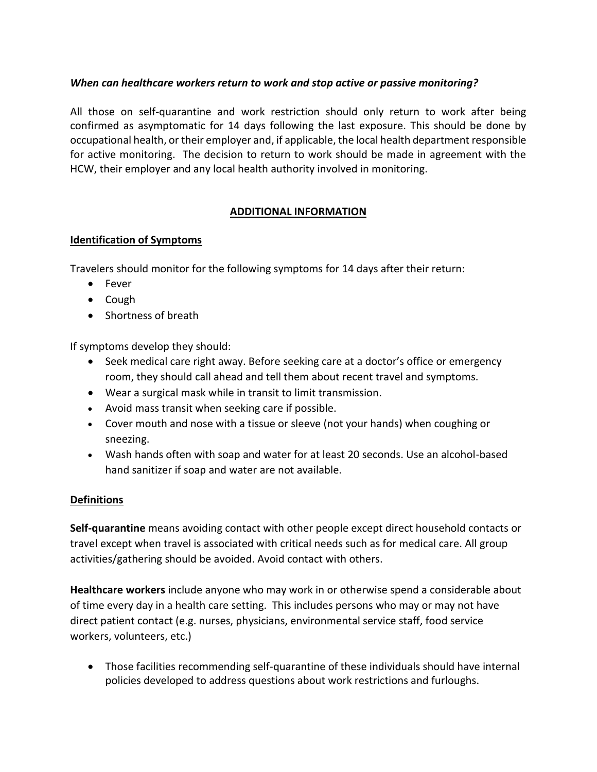# *When can healthcare workers return to work and stop active or passive monitoring?*

All those on self-quarantine and work restriction should only return to work after being confirmed as asymptomatic for 14 days following the last exposure. This should be done by occupational health, or their employer and, if applicable, the local health department responsible for active monitoring. The decision to return to work should be made in agreement with the HCW, their employer and any local health authority involved in monitoring.

# **ADDITIONAL INFORMATION**

### **Identification of Symptoms**

Travelers should monitor for the following symptoms for 14 days after their return:

- Fever
- Cough
- Shortness of breath

If symptoms develop they should:

- Seek medical care right away. Before seeking care at a doctor's office or emergency room, they should call ahead and tell them about recent travel and symptoms.
- Wear a surgical mask while in transit to limit transmission.
- Avoid mass transit when seeking care if possible.
- Cover mouth and nose with a tissue or sleeve (not your hands) when coughing or sneezing.
- Wash hands often with soap and water for at least 20 seconds. Use an alcohol-based hand sanitizer if soap and water are not available.

# **Definitions**

**Self-quarantine** means avoiding contact with other people except direct household contacts or travel except when travel is associated with critical needs such as for medical care. All group activities/gathering should be avoided. Avoid contact with others.

**Healthcare workers** include anyone who may work in or otherwise spend a considerable about of time every day in a health care setting. This includes persons who may or may not have direct patient contact (e.g. nurses, physicians, environmental service staff, food service workers, volunteers, etc.)

• Those facilities recommending self-quarantine of these individuals should have internal policies developed to address questions about work restrictions and furloughs.